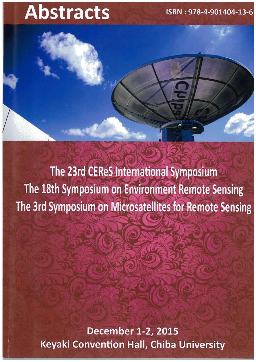## ISBN: 978-4-901404-13-6

# **Abstracts**

The 23rd CEReS International Symposium The 18th Symposium on Environment Remote Sensing The 3rd Symposium on Microsatellites for Remote Sensing

> **December 1-2, 2015 Keyaki Convention Hall, Chiba University**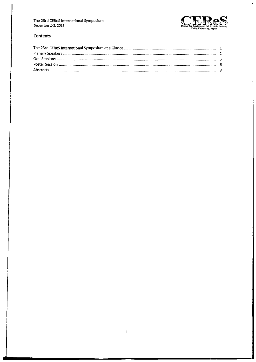

 $\bar{\chi}$ 

#### **Contents**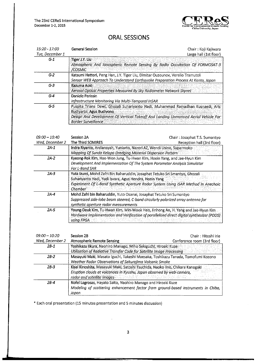

## **ORAL SESSIONS**

| 15:20 - 17:00   | <b>General Session</b>                                                                                                                                                                                                          | Chair : Koji Kajiwara  |
|-----------------|---------------------------------------------------------------------------------------------------------------------------------------------------------------------------------------------------------------------------------|------------------------|
| Tue. December 1 |                                                                                                                                                                                                                                 | Large hall (1st floor) |
| $G-1$           | <b>Tiger J.Y. Liu</b><br>Atmospheric And lonospheric Remote Sensing By Radio Occultation Of FORMOSAT-3<br>/COSMIC                                                                                                               |                        |
| $G-2$           | Katsumi Hattori, Peng Han, J.Y. Tiger Liu, Dimitar Ouzounov, Verelio Tramutoli<br>Sensor WEB Approach To Understand Earthquake Preparation Process At Kanto, Japan                                                              |                        |
| $G-3$           | Kazuma Aoki<br>Aerosol Optical Properties Measured By Sky Radiometer Network Skynet                                                                                                                                             |                        |
| $G-4$           | Daniele Perissin<br>Infrastructure Monitoring Via Multi-Temporal InSAR                                                                                                                                                          |                        |
| $G-5$           | Puspita Triana Dewi, Ghozali Suhariyanto Hadi, Muhammad Ramadhan Kusnaedi, Aris<br>Budivarto, Agus Budivono<br>Design And Development Of Vertical Takeoff And Landing Unmanned Aerial Vehicle For<br><b>Border Surveillance</b> |                        |

| $09:00 - 10:40$ | Session 2A                                                                                                                                                                                                                               | Chair: Josaphat T.S. Sumantyo |
|-----------------|------------------------------------------------------------------------------------------------------------------------------------------------------------------------------------------------------------------------------------------|-------------------------------|
| Wed, December 2 | The Third SOMIRES                                                                                                                                                                                                                        | Reception hall (3rd floor)    |
| 2A-1            | Indra Riyanto, Ardiansyah, Yuniarto, Nazori AZ, Wendi Usino, Suparmoko<br>Mapping Of Sunda Kelapa Dredging Material Dispersion Pattern                                                                                                   |                               |
| $2A-2$          | Kyeong-Rok Kim, Hae-Won Jung, Tu-Hwan Kim, Heein Yang, and Jae-Hyun Kim                                                                                                                                                                  |                               |
|                 | Development And Implementation Of The System Parameter Analysis Simulator<br>For L-Band SAR                                                                                                                                              |                               |
| $2A-3$          | Yuta Izumi, Mohd Zafri Bin Baharuddin, Josaphat Tetuko Sri Smantyo, Ghozali<br>Suhariyanto Hadi, Yudi Isvara, Agus Hendra, Heein Yang<br>Experiment Of L-Band Synthetic Aperture Radar System Using ISAR Method In Anechoic<br>Chamber ( |                               |
| $2A-4$          | Mohd Zafri bin Baharuddin, Yuto Osanai, Josaphat Tetuko Sri Sumantyo<br>Suppressed side-lobe beam steered, C-band circularly polarized array antenna for<br>synthetic aperture radar measurements                                        |                               |
| 2A-5            | Young-Deuk Kim, Tu-Hwan Kim, Min-Wook Heo, Jinhong An, H. Yang and Jae-Hyun Kim<br>Hardware Implementation and Verification of parallelized direct digital synthesizer (PDDS)<br>usina FPGA                                              |                               |

| <i>09:00 - 10:20</i> | Session 2B                                                                                                                                                                                                            | Chair: Hitoshi Irie         |
|----------------------|-----------------------------------------------------------------------------------------------------------------------------------------------------------------------------------------------------------------------|-----------------------------|
| Wed, December 2      | <b>Atmospheric Remote Sensing</b>                                                                                                                                                                                     | Conference room (3rd floor) |
| $2B-1$               | Yoshikazu likura, Naohiro Manago, Miho Sekiguchi, Hiroaki Kuze<br>Utilization of Radiative Transfer Code for Satellite Image Processing                                                                               |                             |
| 2B-2                 | Masayuki Maki, Masato Iguchi, Takeshi Maesaka, Toshikazu Tanada, Tomofumi Kozono<br>Weather Radar Observations of Sakurajima Volcanic Smoke                                                                           |                             |
| $2B-3$               | Kisei Kinoshita, Masayuki Maki, Satoshi Tsuchida, Naoko lino, Chikara Kanagaki<br>Eruption clouds at volcanoes in Kyushu, Japan observed by web-camera,<br>radar and satellite images and satisfactured and satellite |                             |
| $2B-4$               | Nofel Lagrosas, Hayato Saito, Naohiro Manago and Hiroaki Kuze<br>Modeling of scattering enhancement factor from ground-based instruments in Chiba,<br>Japan                                                           |                             |

\* Each oral presentation (15 minutes presentation and 5 minutes discussion)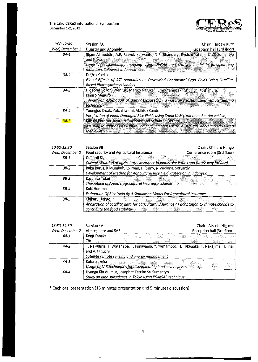The 23rd CEReS International Symposium December 1-2, 2015

 $\mathbb{R}^2$ 



| <i>11:00-12:40</i> | Session 3A                                                                                                                                                                                                                 | Chair: Hiroaki Kuze        |
|--------------------|----------------------------------------------------------------------------------------------------------------------------------------------------------------------------------------------------------------------------|----------------------------|
| Wed, December 2    | Disaster and Anomaly                                                                                                                                                                                                       | Reception hall (3rd floor) |
| $3A-1$             | Ilham Alimuddin, A.R. Rasyid, Purwanto, N.P. Bhandary, Ryuichi Yatabe, J.T.S. Sumantyo<br>and H. Kuze<br>Landslide susceptibility mapping using DinSAR and statistic model in Bawakaraeng<br>mountain, Sulawesi, Indonesia |                            |
| $3A-2$             | Daijiro Kneko<br>Global Effects of SST Anomalies on Downwind Continental Crop Yields Using Satellite-<br>Based Photosynthesis Models                                                                                       |                            |
| 3A-3               | Hideomi Gokon, Wen Liu, Mariko Naruke, Fumio Yamazaki, Shunichi Koshimura,<br>Kimiro Meguro<br>Toward an estimation of damage caused by a natural disaster using remote sensing<br>technology                              |                            |
| $3A-4$             | Youngjoo Kwak, Yoichi Iwami, Akihiko Kondoh<br>Verification of Flood Damaged Rice Fields using Small UAV (Unmanned aerial vehicle)                                                                                         |                            |
| $3A-5$             | Kithsiri Pereraa, Ryutaro Tateishib, and Srikantha Herath.<br>Assisting Mitigation Of Bushfire Threat In Regional Australia Through Modis Imagery Based:<br>Media Gis                                                      |                            |

| 10:50-12:30                                                               | Session 3B                                                                                                                                    | Chair: Chiharu Hongo        |
|---------------------------------------------------------------------------|-----------------------------------------------------------------------------------------------------------------------------------------------|-----------------------------|
| Wed, December 2                                                           | Food security and Agricultural Insurance                                                                                                      | Conference room (3rd floor) |
| $3B-1$                                                                    | Gunardi Sigit<br>Current situation of agricultural insurance in Indonesia: Issues and future way forward                                      |                             |
| $3B-2$<br>Baba Barus, K Munibah, LS Iman, F Tonny, N Widiana, Setyardy, F |                                                                                                                                               |                             |
|                                                                           | Development of Method for Agricultural Rice Field Protection in Indonesia                                                                     |                             |
| $3B-3$                                                                    | Kazuhisa Tokui<br>The outline of Japan's agricultural insurance scheme                                                                        |                             |
| $3B-4$                                                                    | Koki Homma                                                                                                                                    |                             |
|                                                                           | Estimation Of Rice Yield By A Simulation Model For Agricultural Insurance                                                                     |                             |
| $3B-5$                                                                    | Chiharu Hongo<br>Application of satellite data for agricultural insurance as adaptation to climate change to<br>contribute the food stability |                             |

| 13:30-14:50     | Session 4A<br>Chair: Atsushi Higuchi                                                                                                                       |
|-----------------|------------------------------------------------------------------------------------------------------------------------------------------------------------|
| Wed, December 2 | Atmosphere and SAR<br>Reception hall (3rd floor)                                                                                                           |
| $4A-1$          | Kenji Tanaka<br>TBD.                                                                                                                                       |
| 4A-2            | T. Nakajima, T. Watanabe, T. Funayama, Y. Yamamoto, H. Takenaka, T. Nakajima, H. Irie,<br>and A. Higuchi<br>Satellite remote sensing and energy management |
| $4A-3$          | Kotaro lizuka<br>Usage of SAR techniques for discriminating land cover classes                                                                             |
| $4A-4$          | Uyanga Khudulmur, Josaphat Tetuko Sri Sumantyo<br>Study on land subsidence in Tokyo using PS-InSAR technique                                               |

\* Each oral presentation (15 minutes presentation and 5 minutes discussion)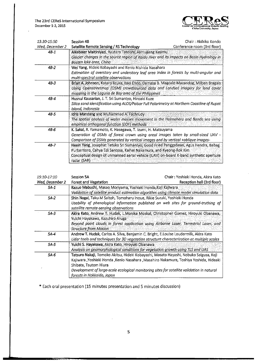

| 13:30-15:50     | Session 4B                                                                                                                                                                                                                                                         | Chair: Akihiko Kondo        |
|-----------------|--------------------------------------------------------------------------------------------------------------------------------------------------------------------------------------------------------------------------------------------------------------------|-----------------------------|
| Wed, December 2 | Satellite Remote Sensing / RS Technology                                                                                                                                                                                                                           | Conference room (3rd floor) |
| $4B-1$          | Aikebaler Maltiniyazi, Ryutaro Tateishi, Alimujiang Kasimu,<br>Glacier changes in the source region of Kaidu river and its impacts on Basin Hydrology in<br>Bostën lake area, China.                                                                               |                             |
| $4B-2$          | Wei Yang, Hideki Kobayashi and Kenlo Nishida Nasahara<br>Estimation of overstory and understory leaf area index in forests by multi-angular and<br>multi-spectral satellite observations                                                                           |                             |
| $4B-3$          | Brian A. Johnson, Kotaro Ilzuka, Isao Endo, Damasa B. Magcale-Macandog, Milben Bragais<br>Using Openstreetmap (OSM) crowdsourced data and Landsat imagery for land cover:<br>mapping in the Laguna de Bay area of the Philippines                                  |                             |
| $4B-4$          | Husnul Kausarian, J. T. Sri Sumantyo, Hiroaki Kuze<br>Silica sand identification using ALOS/Palsar Full Polarimetry at Northern Coastline of Rupat<br>Island, Indonesia                                                                                            |                             |
| $4B - 5$        | Idris Mandang and Muhammad A. Fachrudy:<br>The spatial analysis of water masses movement in the Halmahera and Banda sea using<br>empirical orthogonal function (EOF) methods                                                                                       |                             |
| 48-6            | K. Sakai, R. Yamamoto, K. Hasegawa, T. Izumi, H. Matsuyama<br>Generation of DSMs of forest crown using areal images taken by small-sized UAV -<br>Comparison of DSMs generated by vertical images and by vertical +oblique images-                                 |                             |
| 4B-7            | Heein Yang, Josaphat Tetuko Sri Sumantyo, Good Fried Panggabean, Agus Hendra, Babag<br>Purbantoro, Cahya Edi Santosa, Kaihei Nakamura, and Kyeong-Rok Kim.<br>Conceptual design of unmanned aerial vehicle (UAV) on-board X-band synthetic aperture<br>radar (SAR) |                             |

| 15:10-17:10     | Session 5A                                                                                                                                                                                                                                                                                                                          | Chair: Yoshiaki Honda, Akira Kato |
|-----------------|-------------------------------------------------------------------------------------------------------------------------------------------------------------------------------------------------------------------------------------------------------------------------------------------------------------------------------------|-----------------------------------|
| Wed, December 2 | Forest and Vegetation                                                                                                                                                                                                                                                                                                               | Reception hall (3rd floor)        |
| 5A-1            | Kazuo Mabuchi, Masao Moriyama, Yoshiaki Honda, Koji Kajiwara<br>Validation of satellite product estimation algorithm using climate model simulation data.                                                                                                                                                                           |                                   |
| $5A-2$          | Shin Nagai, Taku M Saitoh, Tomoharu Inoue, Rikie Suzuki, Yoshiaki Honda<br>Usability of phenological information published on web sites for ground-truthing of<br>satellite remote-sensing observations                                                                                                                             |                                   |
| $5A-3$          | Akira Kato, Andrew T. Hudak, L.Monika Moskal, Christopher Gomez, Hiroyuki Obanawa,<br>Yuichi Hayakawa, Kazuhiro Aruga<br>Beyond point clouds in forest application using Airborne Laser, Terrestrial Laser, and<br><b>Structure from Motion Structure</b>                                                                           |                                   |
| 5A-4            | Andrew T. Hudak, Carlos A. Silva, Benjamin C. Bright, E.Louise Loudermilk, Akira Kato<br>Lidar tools and techniques for 3D vegetation structure characterization at multiple scales                                                                                                                                                 |                                   |
| $5A-5$          | Yuichi S. Hayakawa, Akira Kato, Hiroyuki Obanawa<br>Analysis on geomorphological conditions for vegetation growth using TLS and UAS                                                                                                                                                                                                 |                                   |
| 5A-6            | Tatsuro Nakaji, Tomoko Akitsu, Hideki Kobayashi, Masato Hayashi, Nobuko Saigusa, Koji<br>Kajiwara ,Yoshiaki Honda ,Kenlo Nasahara ,Masahiro Nakamura, Toshiya Yoshida, Hideaki<br>Shibata, Tsutom Hiura<br>Development of large-scale ecological monitoring sites for satellite validation in natural<br>forests in Hokkaido, Japan |                                   |

\* Each oral presentation (15 minutes presentation and 5 minutes discussion)